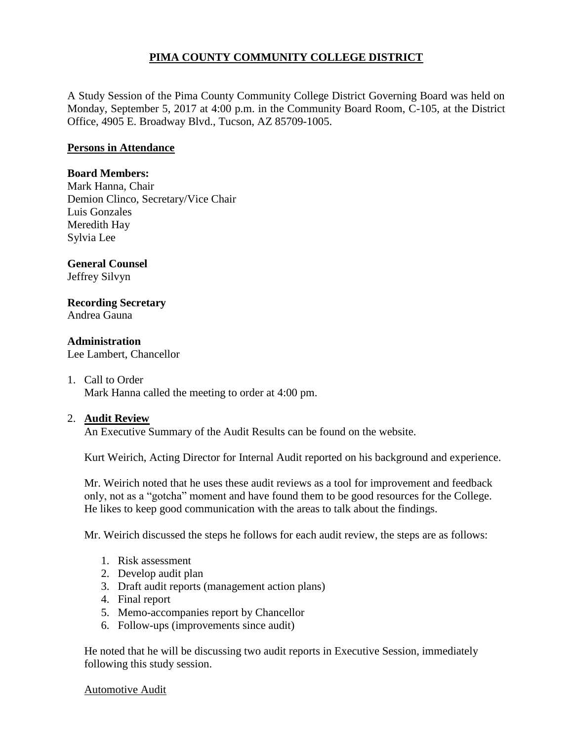# **PIMA COUNTY COMMUNITY COLLEGE DISTRICT**

A Study Session of the Pima County Community College District Governing Board was held on Monday, September 5, 2017 at 4:00 p.m. in the Community Board Room, C-105, at the District Office, 4905 E. Broadway Blvd., Tucson, AZ 85709-1005.

## **Persons in Attendance**

### **Board Members:**

Mark Hanna, Chair Demion Clinco, Secretary/Vice Chair Luis Gonzales Meredith Hay Sylvia Lee

## **General Counsel**

Jeffrey Silvyn

## **Recording Secretary**

Andrea Gauna

### **Administration**

Lee Lambert, Chancellor

#### 1. Call to Order

Mark Hanna called the meeting to order at 4:00 pm.

#### 2. **Audit Review**

An Executive Summary of the Audit Results can be found on the website.

Kurt Weirich, Acting Director for Internal Audit reported on his background and experience.

Mr. Weirich noted that he uses these audit reviews as a tool for improvement and feedback only, not as a "gotcha" moment and have found them to be good resources for the College. He likes to keep good communication with the areas to talk about the findings.

Mr. Weirich discussed the steps he follows for each audit review, the steps are as follows:

- 1. Risk assessment
- 2. Develop audit plan
- 3. Draft audit reports (management action plans)
- 4. Final report
- 5. Memo-accompanies report by Chancellor
- 6. Follow-ups (improvements since audit)

He noted that he will be discussing two audit reports in Executive Session, immediately following this study session.

#### Automotive Audit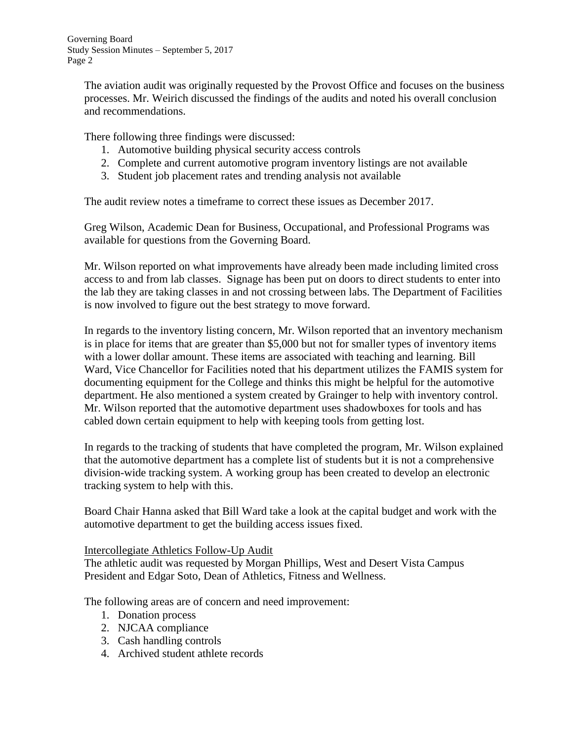Governing Board Study Session Minutes – September 5, 2017 Page 2

> The aviation audit was originally requested by the Provost Office and focuses on the business processes. Mr. Weirich discussed the findings of the audits and noted his overall conclusion and recommendations.

There following three findings were discussed:

- 1. Automotive building physical security access controls
- 2. Complete and current automotive program inventory listings are not available
- 3. Student job placement rates and trending analysis not available

The audit review notes a timeframe to correct these issues as December 2017.

Greg Wilson, Academic Dean for Business, Occupational, and Professional Programs was available for questions from the Governing Board.

Mr. Wilson reported on what improvements have already been made including limited cross access to and from lab classes. Signage has been put on doors to direct students to enter into the lab they are taking classes in and not crossing between labs. The Department of Facilities is now involved to figure out the best strategy to move forward.

In regards to the inventory listing concern, Mr. Wilson reported that an inventory mechanism is in place for items that are greater than \$5,000 but not for smaller types of inventory items with a lower dollar amount. These items are associated with teaching and learning. Bill Ward, Vice Chancellor for Facilities noted that his department utilizes the FAMIS system for documenting equipment for the College and thinks this might be helpful for the automotive department. He also mentioned a system created by Grainger to help with inventory control. Mr. Wilson reported that the automotive department uses shadowboxes for tools and has cabled down certain equipment to help with keeping tools from getting lost.

In regards to the tracking of students that have completed the program, Mr. Wilson explained that the automotive department has a complete list of students but it is not a comprehensive division-wide tracking system. A working group has been created to develop an electronic tracking system to help with this.

Board Chair Hanna asked that Bill Ward take a look at the capital budget and work with the automotive department to get the building access issues fixed.

## Intercollegiate Athletics Follow-Up Audit

The athletic audit was requested by Morgan Phillips, West and Desert Vista Campus President and Edgar Soto, Dean of Athletics, Fitness and Wellness.

The following areas are of concern and need improvement:

- 1. Donation process
- 2. NJCAA compliance
- 3. Cash handling controls
- 4. Archived student athlete records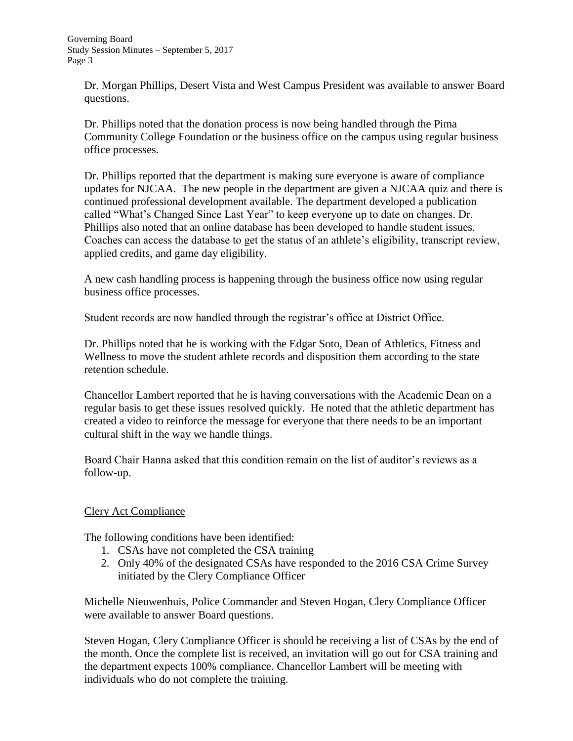Dr. Morgan Phillips, Desert Vista and West Campus President was available to answer Board questions.

Dr. Phillips noted that the donation process is now being handled through the Pima Community College Foundation or the business office on the campus using regular business office processes.

Dr. Phillips reported that the department is making sure everyone is aware of compliance updates for NJCAA. The new people in the department are given a NJCAA quiz and there is continued professional development available. The department developed a publication called "What's Changed Since Last Year" to keep everyone up to date on changes. Dr. Phillips also noted that an online database has been developed to handle student issues. Coaches can access the database to get the status of an athlete's eligibility, transcript review, applied credits, and game day eligibility.

A new cash handling process is happening through the business office now using regular business office processes.

Student records are now handled through the registrar's office at District Office.

Dr. Phillips noted that he is working with the Edgar Soto, Dean of Athletics, Fitness and Wellness to move the student athlete records and disposition them according to the state retention schedule.

Chancellor Lambert reported that he is having conversations with the Academic Dean on a regular basis to get these issues resolved quickly. He noted that the athletic department has created a video to reinforce the message for everyone that there needs to be an important cultural shift in the way we handle things.

Board Chair Hanna asked that this condition remain on the list of auditor's reviews as a follow-up.

# Clery Act Compliance

The following conditions have been identified:

- 1. CSAs have not completed the CSA training
- 2. Only 40% of the designated CSAs have responded to the 2016 CSA Crime Survey initiated by the Clery Compliance Officer

Michelle Nieuwenhuis, Police Commander and Steven Hogan, Clery Compliance Officer were available to answer Board questions.

Steven Hogan, Clery Compliance Officer is should be receiving a list of CSAs by the end of the month. Once the complete list is received, an invitation will go out for CSA training and the department expects 100% compliance. Chancellor Lambert will be meeting with individuals who do not complete the training.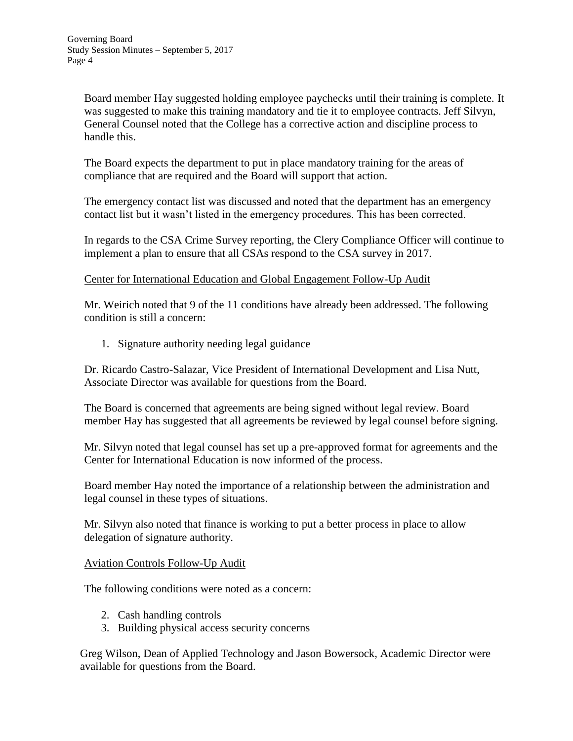Board member Hay suggested holding employee paychecks until their training is complete. It was suggested to make this training mandatory and tie it to employee contracts. Jeff Silvyn, General Counsel noted that the College has a corrective action and discipline process to handle this.

The Board expects the department to put in place mandatory training for the areas of compliance that are required and the Board will support that action.

The emergency contact list was discussed and noted that the department has an emergency contact list but it wasn't listed in the emergency procedures. This has been corrected.

In regards to the CSA Crime Survey reporting, the Clery Compliance Officer will continue to implement a plan to ensure that all CSAs respond to the CSA survey in 2017.

Center for International Education and Global Engagement Follow-Up Audit

Mr. Weirich noted that 9 of the 11 conditions have already been addressed. The following condition is still a concern:

1. Signature authority needing legal guidance

Dr. Ricardo Castro-Salazar, Vice President of International Development and Lisa Nutt, Associate Director was available for questions from the Board.

The Board is concerned that agreements are being signed without legal review. Board member Hay has suggested that all agreements be reviewed by legal counsel before signing.

Mr. Silvyn noted that legal counsel has set up a pre-approved format for agreements and the Center for International Education is now informed of the process.

Board member Hay noted the importance of a relationship between the administration and legal counsel in these types of situations.

Mr. Silvyn also noted that finance is working to put a better process in place to allow delegation of signature authority.

## Aviation Controls Follow-Up Audit

The following conditions were noted as a concern:

- 2. Cash handling controls
- 3. Building physical access security concerns

Greg Wilson, Dean of Applied Technology and Jason Bowersock, Academic Director were available for questions from the Board.